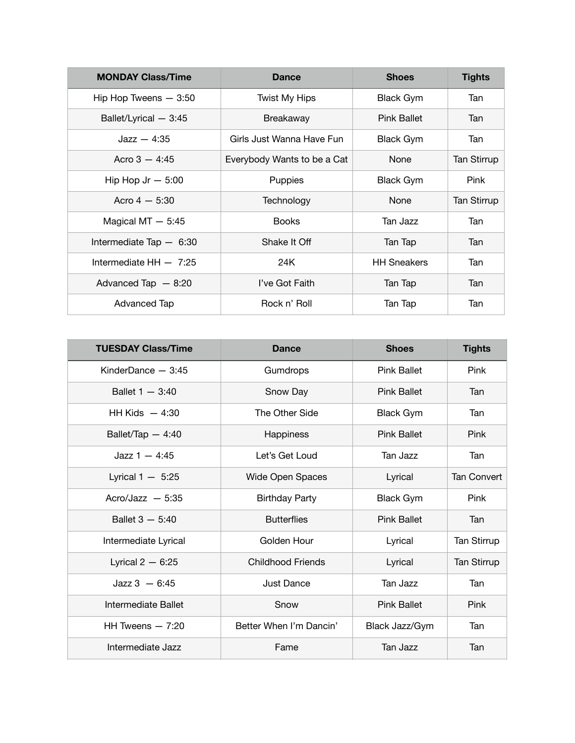| <b>MONDAY Class/Time</b> | <b>Dance</b>                | <b>Shoes</b>       | <b>Tights</b>      |
|--------------------------|-----------------------------|--------------------|--------------------|
| Hip Hop Tweens $-3:50$   | <b>Twist My Hips</b>        | <b>Black Gym</b>   | Tan                |
| Ballet/Lyrical - 3:45    | <b>Breakaway</b>            | <b>Pink Ballet</b> | Tan                |
| $Jazz - 4:35$            | Girls Just Wanna Have Fun   | <b>Black Gym</b>   | Tan                |
| Acro $3 - 4:45$          | Everybody Wants to be a Cat | None               | <b>Tan Stirrup</b> |
| Hip Hop Jr $-5:00$       | Puppies                     | <b>Black Gym</b>   | <b>Pink</b>        |
| Acro $4 - 5:30$          | Technology                  | None               | <b>Tan Stirrup</b> |
| Magical $MT - 5:45$      | <b>Books</b>                | Tan Jazz           | Tan                |
| Intermediate Tap $-6:30$ | Shake It Off                | Tan Tap            | Tan                |
| Intermediate $HH - 7:25$ | 24K                         | <b>HH Sneakers</b> | Tan                |
| Advanced Tap $-8:20$     | I've Got Faith              | Tan Tap            | Tan                |
| Advanced Tap             | Rock n' Roll                | Tan Tap            | Tan                |

| <b>TUESDAY Class/Time</b> | <b>Dance</b>             | <b>Shoes</b>       | <b>Tights</b>      |
|---------------------------|--------------------------|--------------------|--------------------|
| KinderDance $-3:45$       | Gumdrops                 | <b>Pink Ballet</b> | Pink               |
| Ballet $1 - 3:40$         | Snow Day                 | <b>Pink Ballet</b> | Tan                |
| HH Kids $-4:30$           | The Other Side           | <b>Black Gym</b>   | Tan                |
| Ballet/Tap $-4:40$        | Happiness                | <b>Pink Ballet</b> | <b>Pink</b>        |
| $Jazz 1 - 4:45$           | Let's Get Loud           | Tan Jazz           | Tan                |
| Lyrical $1 - 5:25$        | Wide Open Spaces         | Lyrical            | <b>Tan Convert</b> |
| Acro/Jazz $-5:35$         | <b>Birthday Party</b>    | <b>Black Gym</b>   | Pink               |
| Ballet $3 - 5:40$         | <b>Butterflies</b>       | <b>Pink Ballet</b> | Tan                |
| Intermediate Lyrical      | Golden Hour              | Lyrical            | Tan Stirrup        |
| Lyrical $2 - 6:25$        | <b>Childhood Friends</b> | Lyrical            | Tan Stirrup        |
| $Jazz 3 - 6:45$           | <b>Just Dance</b>        | Tan Jazz           | Tan                |
| Intermediate Ballet       | Snow                     | <b>Pink Ballet</b> | Pink               |
| HH Tweens $-7:20$         | Better When I'm Dancin'  | Black Jazz/Gym     | Tan                |
| Intermediate Jazz         | Fame                     | Tan Jazz           | Tan                |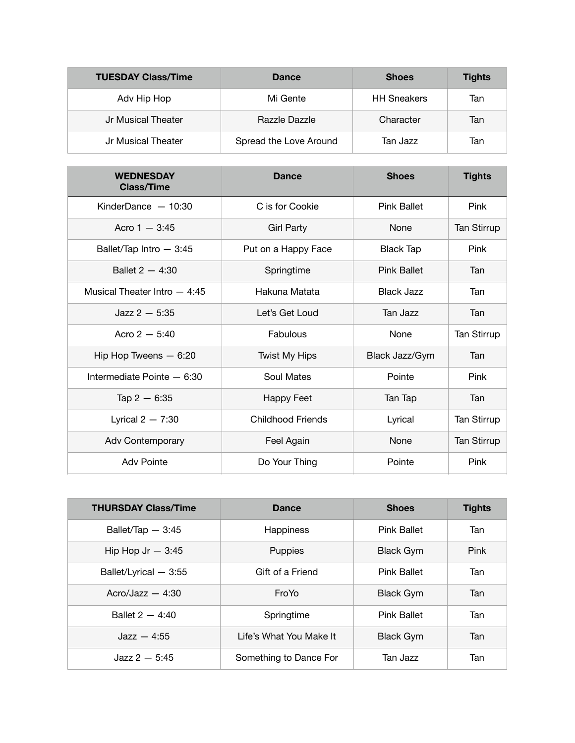| <b>TUESDAY Class/Time</b> | Dance                  | <b>Shoes</b>       | <b>Tights</b> |
|---------------------------|------------------------|--------------------|---------------|
| Adv Hip Hop               | Mi Gente               | <b>HH Sneakers</b> | Tan           |
| Jr Musical Theater        | Razzle Dazzle          | Character          | Tan           |
| Jr Musical Theater        | Spread the Love Around | Tan Jazz           | Tan           |

| <b>WEDNESDAY</b><br><b>Class/Time</b> | <b>Dance</b>             | <b>Shoes</b>       | <b>Tights</b>      |
|---------------------------------------|--------------------------|--------------------|--------------------|
| KinderDance $-10:30$                  | C is for Cookie          | <b>Pink Ballet</b> | Pink               |
| Acro $1 - 3:45$                       | <b>Girl Party</b>        | None               | <b>Tan Stirrup</b> |
| Ballet/Tap Intro - 3:45               | Put on a Happy Face      | Black Tap          | Pink               |
| Ballet $2 - 4:30$                     | Springtime               | <b>Pink Ballet</b> | Tan                |
| Musical Theater Intro $-4:45$         | Hakuna Matata            | <b>Black Jazz</b>  | Tan                |
| $Jazz 2 - 5:35$                       | Let's Get Loud           | Tan Jazz           | Tan                |
| Acro $2 - 5:40$                       | Fabulous                 | None               | Tan Stirrup        |
| Hip Hop Tweens $-6:20$                | <b>Twist My Hips</b>     | Black Jazz/Gym     | Tan                |
| Intermediate Pointe - 6:30            | Soul Mates               | Pointe             | Pink               |
| Tap $2 - 6:35$                        | Happy Feet               | Tan Tap            | Tan                |
| Lyrical $2 - 7:30$                    | <b>Childhood Friends</b> | Lyrical            | <b>Tan Stirrup</b> |
| Adv Contemporary                      | Feel Again               | None               | <b>Tan Stirrup</b> |
| <b>Adv Pointe</b>                     | Do Your Thing            | Pointe             | Pink               |

| <b>THURSDAY Class/Time</b> | Dance                   | <b>Shoes</b>       | <b>Tights</b> |
|----------------------------|-------------------------|--------------------|---------------|
| Ballet/Tap $-3:45$         | <b>Happiness</b>        | <b>Pink Ballet</b> | Tan           |
| Hip Hop Jr $-3:45$         | Puppies                 | <b>Black Gym</b>   | Pink          |
| Ballet/Lyrical - 3:55      | Gift of a Friend        | Pink Ballet        | Tan           |
| Acro/Jazz $-4:30$          | <b>FroYo</b>            | <b>Black Gym</b>   | Tan           |
| Ballet $2 - 4:40$          | Springtime              | Pink Ballet        | Tan           |
| $\text{Jazz} - 4:55$       | Life's What You Make It | <b>Black Gym</b>   | Tan           |
| $Jazz 2 - 5:45$            | Something to Dance For  | Tan Jazz           | Tan           |

<u> 1989 - Johann John Stein, marwolaethau (b. 1989)</u>